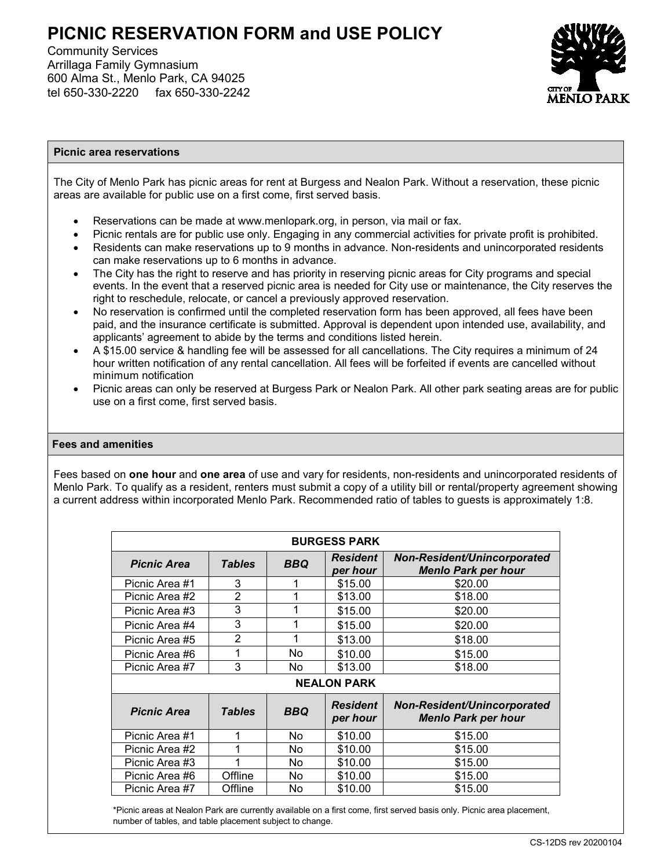# **PICNIC RESERVATION FORM and USE POLICY**

Community Services Arrillaga Family Gymnasium 600 Alma St., Menlo Park, CA 94025 tel 650-330-2220 fax 650-330-2242



#### **Picnic area reservations**

The City of Menlo Park has picnic areas for rent at Burgess and Nealon Park. Without a reservation, these picnic areas are available for public use on a first come, first served basis.

- Reservations can be made at www.menlopark.org, in person, via mail or fax.
- Picnic rentals are for public use only. Engaging in any commercial activities for private profit is prohibited.
- Residents can make reservations up to 9 months in advance. Non-residents and unincorporated residents can make reservations up to 6 months in advance.
- The City has the right to reserve and has priority in reserving picnic areas for City programs and special events. In the event that a reserved picnic area is needed for City use or maintenance, the City reserves the right to reschedule, relocate, or cancel a previously approved reservation.
- No reservation is confirmed until the completed reservation form has been approved, all fees have been paid, and the insurance certificate is submitted. Approval is dependent upon intended use, availability, and applicants' agreement to abide by the terms and conditions listed herein.
- A \$15.00 service & handling fee will be assessed for all cancellations. The City requires a minimum of 24 hour written notification of any rental cancellation. All fees will be forfeited if events are cancelled without minimum notification
- Picnic areas can only be reserved at Burgess Park or Nealon Park. All other park seating areas are for public use on a first come, first served basis.

#### **Fees and amenities**

Fees based on **one hour** and **one area** of use and vary for residents, non-residents and unincorporated residents of Menlo Park. To qualify as a resident, renters must submit a copy of a utility bill or rental/property agreement showing a current address within incorporated Menlo Park. Recommended ratio of tables to guests is approximately 1:8.

| <b>BURGESS PARK</b> |                |            |                             |                                                           |  |  |  |  |  |
|---------------------|----------------|------------|-----------------------------|-----------------------------------------------------------|--|--|--|--|--|
| <b>Picnic Area</b>  | <b>Tables</b>  | <b>BBQ</b> | <b>Resident</b><br>per hour | Non-Resident/Unincorporated<br><b>Menlo Park per hour</b> |  |  |  |  |  |
| Picnic Area #1      | 3              |            | \$15.00                     | \$20.00                                                   |  |  |  |  |  |
| Picnic Area #2      | $\overline{2}$ | 1          | \$13.00                     | \$18.00                                                   |  |  |  |  |  |
| Picnic Area #3      | 3              | 1          | \$15.00                     | \$20.00                                                   |  |  |  |  |  |
| Picnic Area #4      | 3              | 1          | \$15.00                     | \$20.00                                                   |  |  |  |  |  |
| Picnic Area #5      | 2              | 1          | \$13.00                     | \$18.00                                                   |  |  |  |  |  |
| Picnic Area #6      | 1              | No         | \$10.00                     | \$15.00                                                   |  |  |  |  |  |
| Picnic Area #7      | 3              | No         | \$13.00                     | \$18.00                                                   |  |  |  |  |  |
| <b>NEALON PARK</b>  |                |            |                             |                                                           |  |  |  |  |  |
| <b>Picnic Area</b>  | <b>Tables</b>  | <b>BBQ</b> | <b>Resident</b><br>per hour | Non-Resident/Unincorporated<br><b>Menlo Park per hour</b> |  |  |  |  |  |
| Picnic Area #1      | 1              | No         | \$10.00                     | \$15.00                                                   |  |  |  |  |  |
| Picnic Area #2      | 1              | No         | \$10.00                     | \$15.00                                                   |  |  |  |  |  |
| Picnic Area #3      | 1              | No         | \$10.00                     | \$15.00                                                   |  |  |  |  |  |
| Picnic Area #6      | Offline        | No         | \$10.00                     | \$15.00                                                   |  |  |  |  |  |
| Picnic Area #7      | Offline        | No         | \$10.00                     | \$15.00                                                   |  |  |  |  |  |

\*Picnic areas at Nealon Park are currently available on a first come, first served basis only. Picnic area placement, number of tables, and table placement subject to change.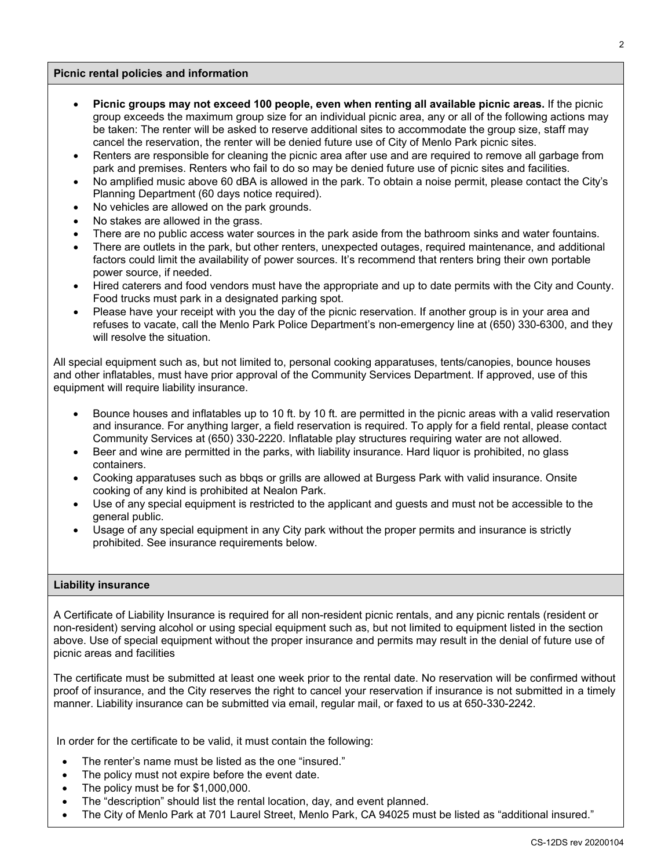#### **Picnic rental policies and information**

- **Picnic groups may not exceed 100 people, even when renting all available picnic areas.** If the picnic group exceeds the maximum group size for an individual picnic area, any or all of the following actions may be taken: The renter will be asked to reserve additional sites to accommodate the group size, staff may cancel the reservation, the renter will be denied future use of City of Menlo Park picnic sites.
- Renters are responsible for cleaning the picnic area after use and are required to remove all garbage from park and premises. Renters who fail to do so may be denied future use of picnic sites and facilities.
- No amplified music above 60 dBA is allowed in the park. To obtain a noise permit, please contact the City's Planning Department (60 days notice required).
- No vehicles are allowed on the park grounds.
- No stakes are allowed in the grass.
- There are no public access water sources in the park aside from the bathroom sinks and water fountains.
- There are outlets in the park, but other renters, unexpected outages, required maintenance, and additional factors could limit the availability of power sources. It's recommend that renters bring their own portable power source, if needed.
- Hired caterers and food vendors must have the appropriate and up to date permits with the City and County. Food trucks must park in a designated parking spot.
- Please have your receipt with you the day of the picnic reservation. If another group is in your area and refuses to vacate, call the Menlo Park Police Department's non-emergency line at (650) 330-6300, and they will resolve the situation.

All special equipment such as, but not limited to, personal cooking apparatuses, tents/canopies, bounce houses and other inflatables, must have prior approval of the Community Services Department. If approved, use of this equipment will require liability insurance.

- Bounce houses and inflatables up to 10 ft. by 10 ft. are permitted in the picnic areas with a valid reservation and insurance. For anything larger, a field reservation is required. To apply for a field rental, please contact Community Services at (650) 330-2220. Inflatable play structures requiring water are not allowed.
- Beer and wine are permitted in the parks, with liability insurance. Hard liquor is prohibited, no glass containers.
- Cooking apparatuses such as bbqs or grills are allowed at Burgess Park with valid insurance. Onsite cooking of any kind is prohibited at Nealon Park.
- Use of any special equipment is restricted to the applicant and guests and must not be accessible to the general public.
- Usage of any special equipment in any City park without the proper permits and insurance is strictly prohibited. See insurance requirements below.

#### **Liability insurance**

A Certificate of Liability Insurance is required for all non-resident picnic rentals, and any picnic rentals (resident or non-resident) serving alcohol or using special equipment such as, but not limited to equipment listed in the section above. Use of special equipment without the proper insurance and permits may result in the denial of future use of picnic areas and facilities

The certificate must be submitted at least one week prior to the rental date. No reservation will be confirmed without proof of insurance, and the City reserves the right to cancel your reservation if insurance is not submitted in a timely manner. Liability insurance can be submitted via email, regular mail, or faxed to us at 650-330-2242.

In order for the certificate to be valid, it must contain the following:

- The renter's name must be listed as the one "insured."
- The policy must not expire before the event date.
- The policy must be for \$1,000,000.
- The "description" should list the rental location, day, and event planned.
- The City of Menlo Park at 701 Laurel Street, Menlo Park, CA 94025 must be listed as "additional insured."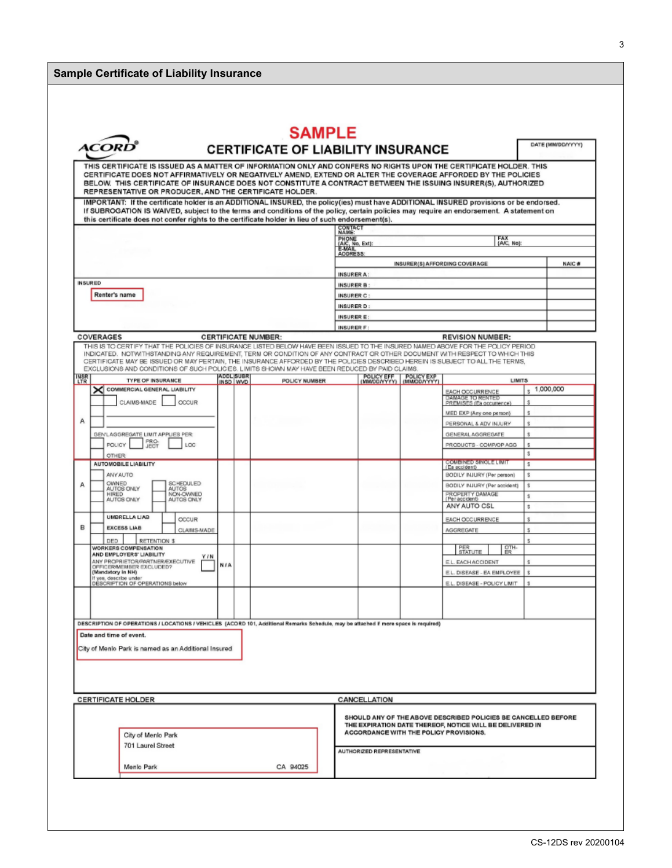### **Sample Certificate of Liability Insurance**

|                        | <b>ACOR</b>                                                                                                                                                                                                                                                                                                                                                                                                                                                                                        |                       |                            | <b>SAMPLE</b><br><b>CERTIFICATE OF LIABILITY INSURANCE</b> |                                                          |                           |                              |                                                                |         | DATE (MM/DD/YYYY) |
|------------------------|----------------------------------------------------------------------------------------------------------------------------------------------------------------------------------------------------------------------------------------------------------------------------------------------------------------------------------------------------------------------------------------------------------------------------------------------------------------------------------------------------|-----------------------|----------------------------|------------------------------------------------------------|----------------------------------------------------------|---------------------------|------------------------------|----------------------------------------------------------------|---------|-------------------|
|                        | THIS CERTIFICATE IS ISSUED AS A MATTER OF INFORMATION ONLY AND CONFERS NO RIGHTS UPON THE CERTIFICATE HOLDER. THIS<br>CERTIFICATE DOES NOT AFFIRMATIVELY OR NEGATIVELY AMEND, EXTEND OR ALTER THE COVERAGE AFFORDED BY THE POLICIES<br>BELOW. THIS CERTIFICATE OF INSURANCE DOES NOT CONSTITUTE A CONTRACT BETWEEN THE ISSUING INSURER(S), AUTHORIZED<br>REPRESENTATIVE OR PRODUCER, AND THE CERTIFICATE HOLDER.                                                                                   |                       |                            |                                                            |                                                          |                           |                              |                                                                |         |                   |
|                        | IMPORTANT: If the certificate holder is an ADDITIONAL INSURED, the policy(ies) must have ADDITIONAL INSURED provisions or be endorsed.<br>If SUBROGATION IS WAIVED, subject to the terms and conditions of the policy, certain policies may require an endorsement. A statement on                                                                                                                                                                                                                 |                       |                            |                                                            |                                                          |                           |                              |                                                                |         |                   |
|                        | this certificate does not confer rights to the certificate holder in lieu of such endorsement(s).                                                                                                                                                                                                                                                                                                                                                                                                  |                       |                            |                                                            | CONTACT<br>NAME:                                         |                           |                              |                                                                |         |                   |
|                        |                                                                                                                                                                                                                                                                                                                                                                                                                                                                                                    |                       |                            |                                                            | PHONE<br>(A/C, No, Ext):<br>E-MAIL                       |                           |                              | FAX<br>(AK, No)                                                |         |                   |
|                        |                                                                                                                                                                                                                                                                                                                                                                                                                                                                                                    |                       |                            |                                                            | ADDRESS:                                                 |                           |                              |                                                                |         |                   |
|                        |                                                                                                                                                                                                                                                                                                                                                                                                                                                                                                    |                       |                            |                                                            |                                                          |                           | <b>NAIC#</b>                 |                                                                |         |                   |
| <b>INSURED</b>         |                                                                                                                                                                                                                                                                                                                                                                                                                                                                                                    |                       |                            |                                                            | INSURER A:<br><b>INSURER B:</b>                          |                           |                              |                                                                |         |                   |
|                        | Renter's name                                                                                                                                                                                                                                                                                                                                                                                                                                                                                      |                       |                            |                                                            | <b>INSURER C:</b>                                        |                           |                              |                                                                |         |                   |
|                        |                                                                                                                                                                                                                                                                                                                                                                                                                                                                                                    |                       |                            |                                                            | INSURER D:                                               |                           |                              |                                                                |         |                   |
|                        |                                                                                                                                                                                                                                                                                                                                                                                                                                                                                                    |                       |                            |                                                            | <b>INSURERE:</b>                                         |                           |                              |                                                                |         |                   |
|                        | COVERAGES                                                                                                                                                                                                                                                                                                                                                                                                                                                                                          |                       | <b>CERTIFICATE NUMBER:</b> |                                                            | INSURER F:                                               |                           |                              | <b>REVISION NUMBER:</b>                                        |         |                   |
|                        | THIS IS TO CERTIFY THAT THE POLICIES OF INSURANCE LISTED BELOW HAVE BEEN ISSUED TO THE INSURED NAMED ABOVE FOR THE POLICY PERIOD<br>INDICATED. NOTWITHSTANDING ANY REQUIREMENT. TERM OR CONDITION OF ANY CONTRACT OR OTHER DOCUMENT WITH RESPECT TO WHICH THIS<br>CERTIFICATE MAY BE ISSUED OR MAY PERTAIN, THE INSURANCE AFFORDED BY THE POLICIES DESCRIBED HEREIN IS SUBJECT TO ALL THE TERMS,<br>EXCLUSIONS AND CONDITIONS OF SUCH POLICIES, LIMITS SHOWN MAY HAVE BEEN REDUCED BY PAID CLAIMS. |                       |                            |                                                            |                                                          |                           |                              |                                                                |         |                   |
| <b>INSR</b><br>LTR     | <b>TYPE OF INSURANCE</b>                                                                                                                                                                                                                                                                                                                                                                                                                                                                           | ADOL SUBR<br>INSD WVD |                            | POLICY NUMBER                                              |                                                          | POLICY EFF                | POLICY EXP<br>(MMDD/YYYY)    | <b>LINITS</b>                                                  |         |                   |
|                        | COMMERCIAL GENERAL LIABILITY                                                                                                                                                                                                                                                                                                                                                                                                                                                                       |                       |                            |                                                            |                                                          |                           |                              | EACH OCCURRENCE<br>DAMAGE TO RENTED                            |         | 1,000,000         |
|                        | CLAIMS-MADE<br><b>CCCUR</b>                                                                                                                                                                                                                                                                                                                                                                                                                                                                        |                       |                            |                                                            |                                                          |                           |                              | PREMISES (Ea occurrence)<br>MED EXP (Any one person)           | s       |                   |
| Α                      |                                                                                                                                                                                                                                                                                                                                                                                                                                                                                                    |                       |                            |                                                            |                                                          |                           |                              | PERSONAL & ADV INJURY                                          | s       |                   |
|                        | GEN LAGGREGATE LIMIT APPLIES PER:                                                                                                                                                                                                                                                                                                                                                                                                                                                                  |                       |                            |                                                            |                                                          |                           |                              | GENERAL AGGREGATE                                              | ŝ       |                   |
|                        | PRO-<br>JECT<br>LOC<br><b>POLICY</b>                                                                                                                                                                                                                                                                                                                                                                                                                                                               |                       |                            |                                                            |                                                          |                           |                              | PRODUCTS - COMP/OP AGG                                         | s       |                   |
|                        | <b>OTHER</b><br>AUTOMOBILE LIABILITY                                                                                                                                                                                                                                                                                                                                                                                                                                                               |                       |                            |                                                            |                                                          |                           |                              | CCMBINED SINGLE LIMIT                                          | s<br>s  |                   |
|                        | <b>ANY AUTO</b>                                                                                                                                                                                                                                                                                                                                                                                                                                                                                    |                       |                            |                                                            |                                                          |                           |                              | (Ea accident)<br>BODILY INJURY (Per person)                    | s       |                   |
| А                      | OWNED<br><b>SCHEDULED</b><br>AUTOS ONLY<br><b>AUTOS</b>                                                                                                                                                                                                                                                                                                                                                                                                                                            |                       |                            |                                                            |                                                          |                           | BODILY INJURY (Per accident) | s                                                              |         |                   |
|                        | NON-OWNED<br><b>HIRED</b><br>AUTOS ONLY<br>AUTOS ONLY                                                                                                                                                                                                                                                                                                                                                                                                                                              |                       |                            |                                                            |                                                          |                           |                              | PROPERTY DAMAGE<br>(Per accident)                              | ŝ.      |                   |
|                        | UMBRELLA LIAB                                                                                                                                                                                                                                                                                                                                                                                                                                                                                      |                       |                            |                                                            |                                                          |                           |                              | ANY AUTO CSL                                                   | \$      |                   |
| в                      | <b>ODCUR</b><br><b>EXCESS LIAB</b><br>CLAIMS-MADE                                                                                                                                                                                                                                                                                                                                                                                                                                                  |                       |                            |                                                            |                                                          |                           |                              | EACH OCCURRENCE<br>AGGREGATE                                   | s<br>s, |                   |
|                        | RETENTION \$<br>DED                                                                                                                                                                                                                                                                                                                                                                                                                                                                                |                       |                            |                                                            |                                                          |                           |                              | s                                                              |         |                   |
|                        | WORKERS COMPENSATION<br>AND EMPLOYERS' LIABILITY<br>Y / N                                                                                                                                                                                                                                                                                                                                                                                                                                          |                       |                            |                                                            |                                                          |                           |                              | $\frac{QTH}{ER}$<br>PER<br>STATUTE                             |         |                   |
|                        | ANY PROPRIETOR/PARTNER/EXECUTIVE<br>OFFICERAVEMBER EXCLUDED?                                                                                                                                                                                                                                                                                                                                                                                                                                       | <b>NIA</b>            |                            |                                                            |                                                          |                           |                              | E.L. EACH ACCIDENT                                             | s       |                   |
|                        | (Mandatory in NH)<br>If yes, describe under<br>DESCRIPTION OF OPERATIONS below                                                                                                                                                                                                                                                                                                                                                                                                                     |                       |                            |                                                            |                                                          |                           |                              | E.L. DISEASE - EA EMPLOYEE<br>E.L. DISEASE - POLICY LIMIT      | s       |                   |
|                        |                                                                                                                                                                                                                                                                                                                                                                                                                                                                                                    |                       |                            |                                                            |                                                          |                           |                              |                                                                |         |                   |
|                        |                                                                                                                                                                                                                                                                                                                                                                                                                                                                                                    |                       |                            |                                                            |                                                          |                           |                              |                                                                |         |                   |
|                        | DESCRIPTION OF OPERATIONS / LOCATIONS / VEHICLES (ACORD 101, Additional Remarks Schedule, may be attached if more space is required)                                                                                                                                                                                                                                                                                                                                                               |                       |                            |                                                            |                                                          |                           |                              |                                                                |         |                   |
|                        | Date and time of event.<br>City of Menlo Park is named as an Additional Insured                                                                                                                                                                                                                                                                                                                                                                                                                    |                       |                            |                                                            |                                                          |                           |                              |                                                                |         |                   |
|                        |                                                                                                                                                                                                                                                                                                                                                                                                                                                                                                    |                       |                            |                                                            |                                                          |                           |                              |                                                                |         |                   |
|                        |                                                                                                                                                                                                                                                                                                                                                                                                                                                                                                    |                       |                            |                                                            |                                                          |                           |                              |                                                                |         |                   |
|                        |                                                                                                                                                                                                                                                                                                                                                                                                                                                                                                    |                       |                            |                                                            |                                                          |                           |                              |                                                                |         |                   |
|                        | <b>CERTIFICATE HOLDER</b>                                                                                                                                                                                                                                                                                                                                                                                                                                                                          |                       |                            |                                                            |                                                          | CANCELLATION              |                              |                                                                |         |                   |
|                        |                                                                                                                                                                                                                                                                                                                                                                                                                                                                                                    |                       |                            |                                                            |                                                          |                           |                              | SHOULD ANY OF THE ABOVE DESCRIBED POLICIES BE CANCELLED BEFORE |         |                   |
|                        |                                                                                                                                                                                                                                                                                                                                                                                                                                                                                                    |                       |                            |                                                            | THE EXPIRATION DATE THEREOF, NOTICE WILL BE DELIVERED IN |                           |                              |                                                                |         |                   |
|                        | City of Menlo Park                                                                                                                                                                                                                                                                                                                                                                                                                                                                                 |                       |                            |                                                            | ACCORDANCE WITH THE POLICY PROVISIONS.                   |                           |                              |                                                                |         |                   |
| 701 Laurel Street      |                                                                                                                                                                                                                                                                                                                                                                                                                                                                                                    |                       |                            |                                                            |                                                          | AUTHORIZED REPRESENTATIVE |                              |                                                                |         |                   |
| Menlo Park<br>CA 94025 |                                                                                                                                                                                                                                                                                                                                                                                                                                                                                                    |                       |                            |                                                            |                                                          |                           |                              |                                                                |         |                   |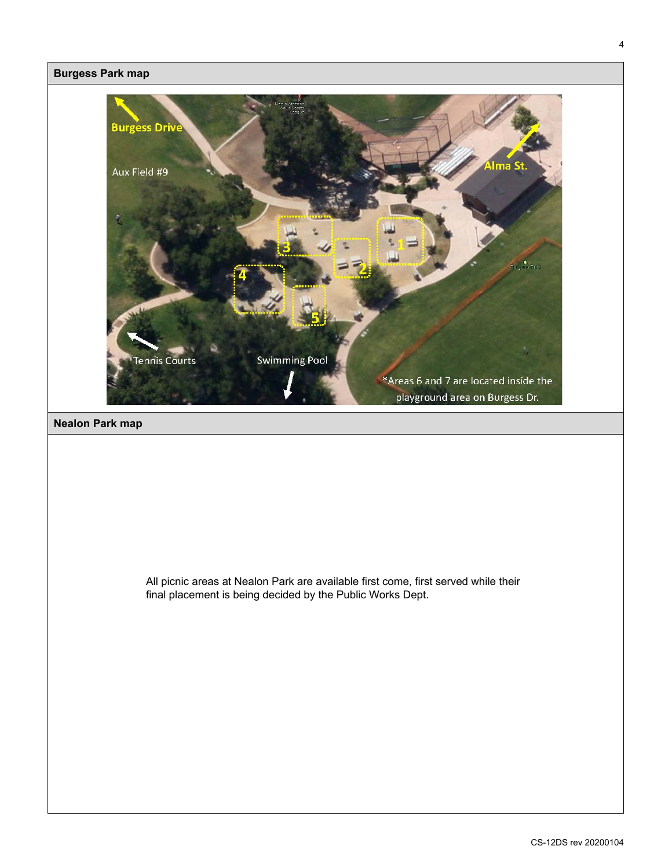